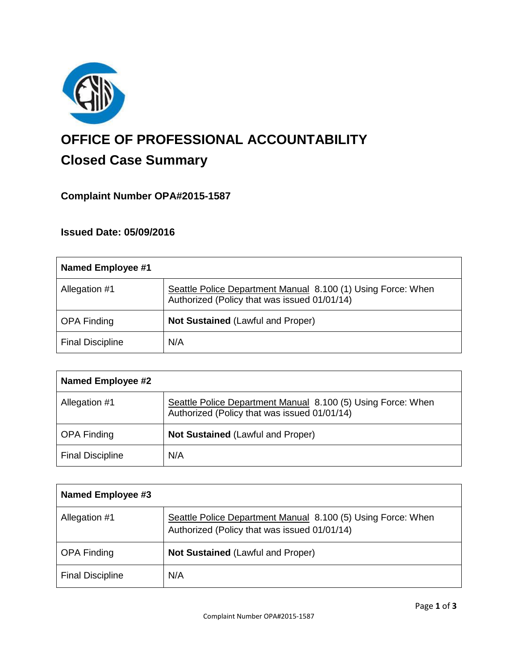

# **OFFICE OF PROFESSIONAL ACCOUNTABILITY Closed Case Summary**

# **Complaint Number OPA#2015-1587**

# **Issued Date: 05/09/2016**

| Named Employee #1       |                                                                                                              |
|-------------------------|--------------------------------------------------------------------------------------------------------------|
| Allegation #1           | Seattle Police Department Manual 8.100 (1) Using Force: When<br>Authorized (Policy that was issued 01/01/14) |
| <b>OPA Finding</b>      | Not Sustained (Lawful and Proper)                                                                            |
| <b>Final Discipline</b> | N/A                                                                                                          |

| <b>Named Employee #2</b> |                                                                                                              |
|--------------------------|--------------------------------------------------------------------------------------------------------------|
| Allegation #1            | Seattle Police Department Manual 8.100 (5) Using Force: When<br>Authorized (Policy that was issued 01/01/14) |
| <b>OPA Finding</b>       | <b>Not Sustained (Lawful and Proper)</b>                                                                     |
| <b>Final Discipline</b>  | N/A                                                                                                          |

| Named Employee #3       |                                                                                                              |
|-------------------------|--------------------------------------------------------------------------------------------------------------|
| Allegation #1           | Seattle Police Department Manual 8.100 (5) Using Force: When<br>Authorized (Policy that was issued 01/01/14) |
| <b>OPA Finding</b>      | <b>Not Sustained (Lawful and Proper)</b>                                                                     |
| <b>Final Discipline</b> | N/A                                                                                                          |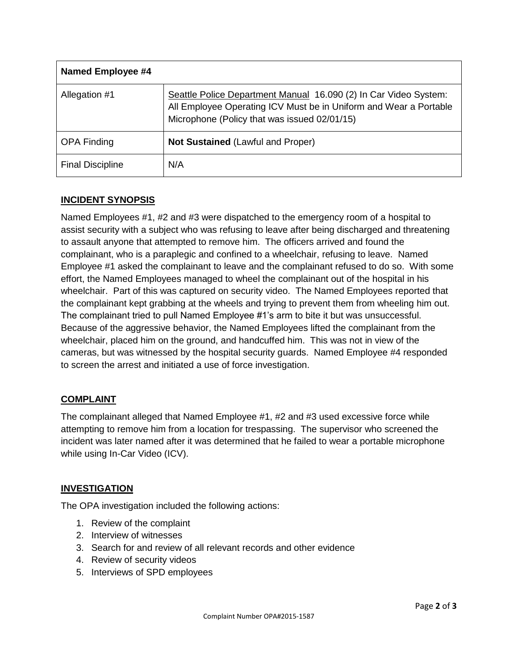| <b>Named Employee #4</b> |                                                                                                                                                                                       |
|--------------------------|---------------------------------------------------------------------------------------------------------------------------------------------------------------------------------------|
| Allegation #1            | Seattle Police Department Manual 16.090 (2) In Car Video System:<br>All Employee Operating ICV Must be in Uniform and Wear a Portable<br>Microphone (Policy that was issued 02/01/15) |
| <b>OPA Finding</b>       | <b>Not Sustained (Lawful and Proper)</b>                                                                                                                                              |
| <b>Final Discipline</b>  | N/A                                                                                                                                                                                   |

# **INCIDENT SYNOPSIS**

Named Employees #1, #2 and #3 were dispatched to the emergency room of a hospital to assist security with a subject who was refusing to leave after being discharged and threatening to assault anyone that attempted to remove him. The officers arrived and found the complainant, who is a paraplegic and confined to a wheelchair, refusing to leave. Named Employee #1 asked the complainant to leave and the complainant refused to do so. With some effort, the Named Employees managed to wheel the complainant out of the hospital in his wheelchair. Part of this was captured on security video. The Named Employees reported that the complainant kept grabbing at the wheels and trying to prevent them from wheeling him out. The complainant tried to pull Named Employee #1's arm to bite it but was unsuccessful. Because of the aggressive behavior, the Named Employees lifted the complainant from the wheelchair, placed him on the ground, and handcuffed him. This was not in view of the cameras, but was witnessed by the hospital security guards. Named Employee #4 responded to screen the arrest and initiated a use of force investigation.

## **COMPLAINT**

The complainant alleged that Named Employee #1, #2 and #3 used excessive force while attempting to remove him from a location for trespassing. The supervisor who screened the incident was later named after it was determined that he failed to wear a portable microphone while using In-Car Video (ICV).

## **INVESTIGATION**

The OPA investigation included the following actions:

- 1. Review of the complaint
- 2. Interview of witnesses
- 3. Search for and review of all relevant records and other evidence
- 4. Review of security videos
- 5. Interviews of SPD employees